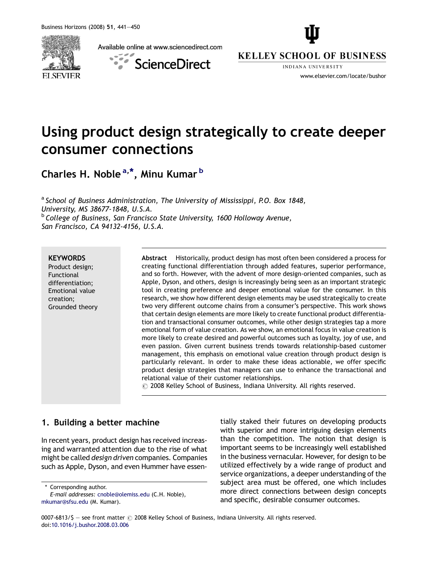Available online at www.sciencedirect.com



ScienceDirect



**KELLEY SCHOOL OF BUSINESS** INDIANA UNIVERSITY

www.elsevier.com/locate/bushor

# Using product design strategically to create deeper consumer connections

Charles H. Noble <sup>a,\*</sup>, Minu Kumar <sup>b</sup>

<sup>a</sup> School of Business Administration, The University of Mississippi, P.O. Box 1848, University, MS 38677-1848, U.S.A. **b College of Business, San Francisco State University, 1600 Holloway Avenue,** San Francisco, CA 94132-4156, U.S.A.

#### **KEYWORDS**

Product design; Functional differentiation; Emotional value creation; Grounded theory

Abstract Historically, product design has most often been considered a process for creating functional differentiation through added features, superior performance, and so forth. However, with the advent of more design-oriented companies, such as Apple, Dyson, and others, design is increasingly being seen as an important strategic tool in creating preference and deeper emotional value for the consumer. In this research, we show how different design elements may be used strategically to create two very different outcome chains from a consumer's perspective. This work shows that certain design elements are more likely to create functional product differentiation and transactional consumer outcomes, while other design strategies tap a more emotional form of value creation. As we show, an emotional focus in value creation is more likely to create desired and powerful outcomes such as loyalty, joy of use, and even passion. Given current business trends towards relationship-based customer management, this emphasis on emotional value creation through product design is particularly relevant. In order to make these ideas actionable, we offer specific product design strategies that managers can use to enhance the transactional and relational value of their customer relationships.

 $\odot$  2008 Kelley School of Business, Indiana University. All rights reserved.

### 1. Building a better machine

In recent years, product design has received increasing and warranted attention due to the rise of what might be called design driven companies. Companies such as Apple, Dyson, and even Hummer have essen-

\* Corresponding author.

tially staked their futures on developing products with superior and more intriguing design elements than the competition. The notion that design is important seems to be increasingly well established in the business vernacular. However, for design to be utilized effectively by a wide range of product and service organizations, a deeper understanding of the subject area must be offered, one which includes more direct connections between design concepts and specific, desirable consumer outcomes.

E-mail addresses: [cnoble@olemiss.edu](mailto:cnoble@olemiss.edu) (C.H. Noble), [mkumar@sfsu.edu](mailto:mkumar@sfsu.edu) (M. Kumar).

<sup>0007-6813/\$ -</sup> see front matter  $\odot$  2008 Kelley School of Business, Indiana University. All rights reserved. doi[:10.1016/j.bushor.2008.03.006](http://dx.doi.org/10.1016/j.bushor.2008.03.006)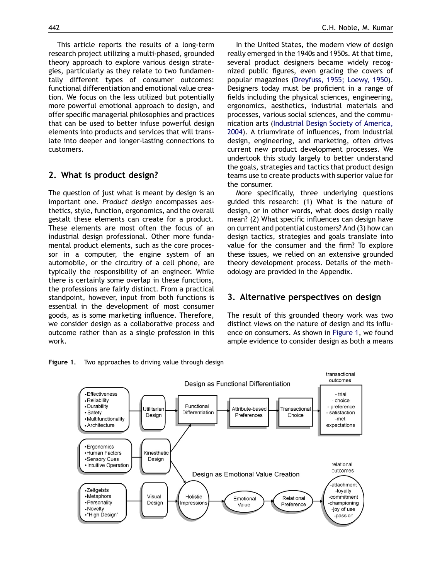This article reports the results of a long-term research project utilizing a multi-phased, grounded theory approach to explore various design strategies, particularly as they relate to two fundamentally different types of consumer outcomes: functional differentiation and emotional value creation. We focus on the less utilized but potentially more powerful emotional approach to design, and offer specific managerial philosophies and practices that can be used to better infuse powerful design elements into products and services that will translate into deeper and longer-lasting connections to customers.

## 2. What is product design?

The question of just what is meant by design is an important one. Product design encompasses aesthetics, style, function, ergonomics, and the overall gestalt these elements can create for a product. These elements are most often the focus of an industrial design professional. Other more fundamental product elements, such as the core processor in a computer, the engine system of an automobile, or the circuitry of a cell phone, are typically the responsibility of an engineer. While there is certainly some overlap in these functions, the professions are fairly distinct. From a practical standpoint, however, input from both functions is essential in the development of most consumer goods, as is some marketing influence. Therefore, we consider design as a collaborative process and outcome rather than as a single profession in this work.

In the United States, the modern view of design really emerged in the 1940s and 1950s. At that time, several product designers became widely recognized public figures, even gracing the covers of popular magazines ([Dreyfuss, 1955; Loewy, 1950](#page--1-0)). Designers today must be proficient in a range of fields including the physical sciences, engineering, ergonomics, aesthetics, industrial materials and processes, various social sciences, and the communication arts [\(Industrial Design Society of America,](#page--1-0) [2004](#page--1-0)). A triumvirate of influences, from industrial design, engineering, and marketing, often drives current new product development processes. We undertook this study largely to better understand the goals, strategies and tactics that product design teams use to create products with superior value for the consumer.

More specifically, three underlying questions guided this research: (1) What is the nature of design, or in other words, what does design really mean? (2) What specific influences can design have on current and potential customers? And (3) how can design tactics, strategies and goals translate into value for the consumer and the firm? To explore these issues, we relied on an extensive grounded theory development process. Details of the methodology are provided in the Appendix.

### 3. Alternative perspectives on design

The result of this grounded theory work was two distinct views on the nature of design and its influence on consumers. As shown in Figure 1, we found ample evidence to consider design as both a means



#### Figure 1. Two approaches to driving value through design